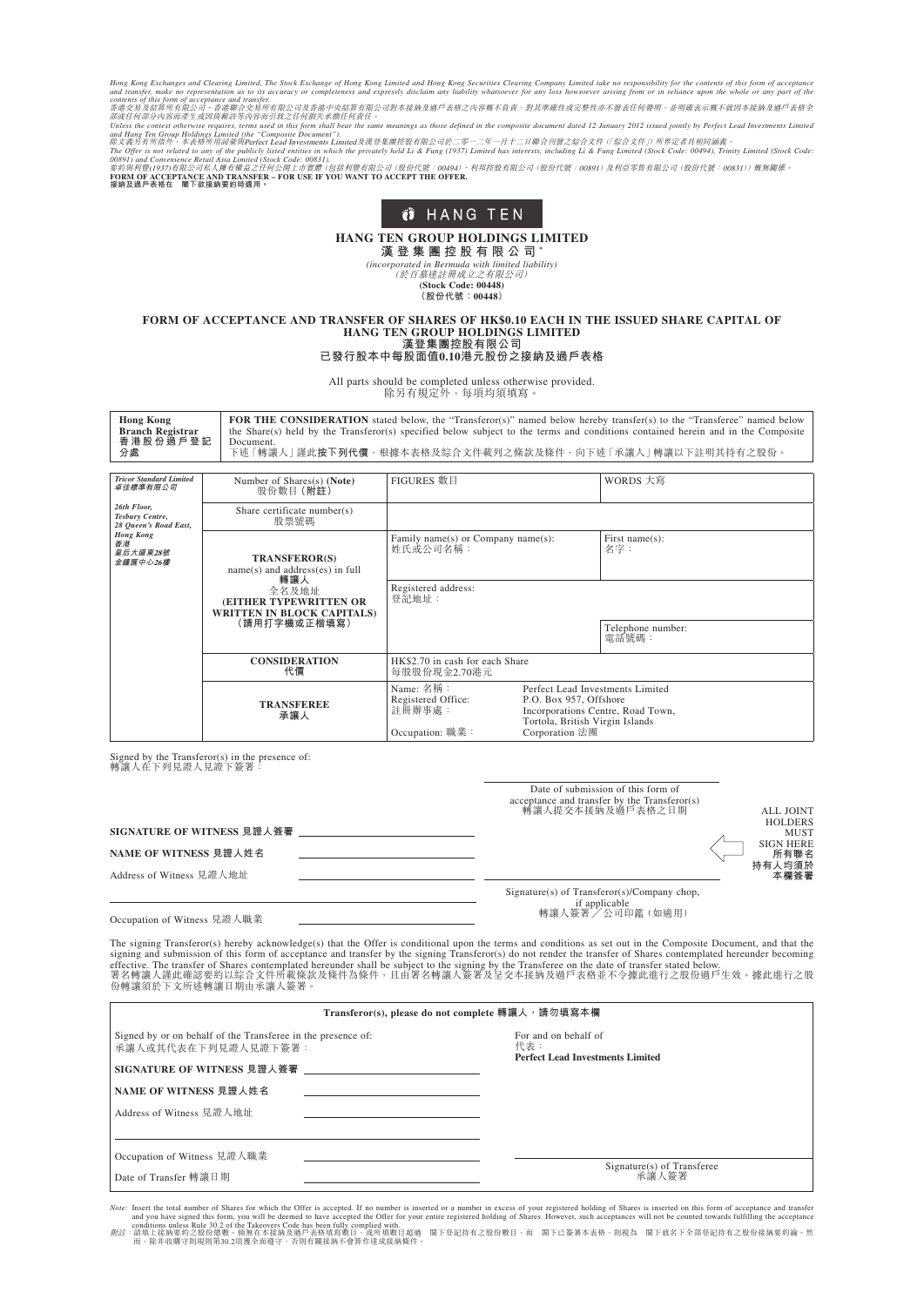Hong Kong Exchanges and Clearing Limited, The Stock Exchange of Hong Kong Limited Clear Of Hong Kong Securition as to its accuracy or completeness and expressly disclaim any liability whatsoever for any loss howsoever ar



# **HANG TEN GROUP HOLDINGS LIMITED**

**漢 登 集 團 控 股 有 限 公 司 \***

*(incorporated in Bermuda with limited liability)* (於百慕達註冊成立之有限公司)

**(Stock Code: 00448) (股份代號:00448)**

#### **FORM OF ACCEPTANCE AND TRANSFER OF SHARES OF HK\$0.10 EACH IN THE ISSUED SHARE CAPITAL OF HANG TEN GROUP HOLDINGS LIMITED 漢登集團控股有限公司**

### **已發行股本中每股面值0.10港元股份之接納及過戶表格**

All parts should be completed unless otherwise provided. 除另有規定外,每項均須填寫。

| <b>FOR THE CONSIDERATION</b> stated below, the "Transferor(s)" named below hereby transfer(s) to the "Transferee" named below    |
|----------------------------------------------------------------------------------------------------------------------------------|
| the Share(s) held by the Transferor(s) specified below subject to the terms and conditions contained herein and in the Composite |
| Document.                                                                                                                        |
| 下述 「轉讓人」謹此按下列代價,根據本表格及綜合文件載列之條款及條件,向下述 「承讓人」 轉讓以下註明其持有之股份。                                                                       |
|                                                                                                                                  |

| <b>Tricor Standard Limited</b><br>卓佳標準有限公司              | Number of Shares(s) (Note)<br>股份數目(附註)                                                                                                                   | FIGURES 數目                                                   |                                                                                                                                                      | WORDS 大寫                   |
|---------------------------------------------------------|----------------------------------------------------------------------------------------------------------------------------------------------------------|--------------------------------------------------------------|------------------------------------------------------------------------------------------------------------------------------------------------------|----------------------------|
| 26th Floor,<br>Tesbury Centre,<br>28 Queen's Road East, | Share certificate number(s)<br>股票號碼                                                                                                                      |                                                              |                                                                                                                                                      |                            |
| <b>Hong Kong</b><br>香港<br>皇后大道東28號<br>金鐘匯中心26樓          | <b>TRANSFEROR(S)</b><br>$name(s)$ and address(es) in full<br>轉讓人<br>全名及地址<br>(EITHER TYPEWRITTEN OR<br><b>WRITTEN IN BLOCK CAPITALS)</b><br>(請用打字機或正楷填寫) | Family name(s) or Company name(s):<br>姓氏或公司名稱:               |                                                                                                                                                      | First name(s):<br>名字:      |
|                                                         |                                                                                                                                                          | Registered address:<br>登記地址:                                 |                                                                                                                                                      |                            |
|                                                         |                                                                                                                                                          |                                                              |                                                                                                                                                      | Telephone number:<br>電話號碼: |
|                                                         | <b>CONSIDERATION</b><br>代價                                                                                                                               | HK\$2.70 in cash for each Share<br>每股股份現金2.70港元              |                                                                                                                                                      |                            |
|                                                         | <b>TRANSFEREE</b><br>承讓人                                                                                                                                 | Name: 名稱:<br>Registered Office:<br>註冊辦事處:<br>Occupation: 職業: | Perfect Lead Investments Limited<br>P.O. Box 957, Offshore<br>Incorporations Centre, Road Town,<br>Tortola, British Virgin Islands<br>Corporation 法團 |                            |

Signed by the Transferor(s) in the presence of: 轉讓人在下列見證人見證下簽署:

| SIGNATURE OF WITNESS 見證人簽署<br>NAME OF WITNESS 見證人姓名 | Date of submission of this form of<br>acceptance and transfer by the Transferor(s)<br>轉讓人提交本接納及過戶表格之日期 | <b>ALL JOINT</b><br><b>HOLDERS</b><br><b>MUST</b><br><b>SIGN HERE</b><br>所有聯名 |
|-----------------------------------------------------|--------------------------------------------------------------------------------------------------------|-------------------------------------------------------------------------------|
| Address of Witness 見證人地址                            |                                                                                                        | 持有人均須於<br>本欄簽署                                                                |
| Occupation of Witness 見證人職業                         | Signature(s) of Transferor(s)/Company chop,<br>if applicable<br>轉讓人簽署 / 公司印鑑 (如適用)                     |                                                                               |

The signing Transferor(s) hereby acknowledge(s) that the Offer is conditional upon the terms and conditions as set out in the Composite Document, and that the signing and submission of this form of acceptance and transfer

| Transferor(s), please do not complete 轉讓人, 請勿填寫本欄                                   |                                                                        |  |  |  |
|-------------------------------------------------------------------------------------|------------------------------------------------------------------------|--|--|--|
| Signed by or on behalf of the Transferee in the presence of:<br>承讓人或其代表在下列見證人見證下簽署: | For and on behalf of<br>代表:<br><b>Perfect Lead Investments Limited</b> |  |  |  |
| SIGNATURE OF WITNESS 見證人簽署                                                          |                                                                        |  |  |  |
| NAME OF WITNESS 見證人姓名                                                               |                                                                        |  |  |  |
| Address of Witness 見證人地址                                                            |                                                                        |  |  |  |
|                                                                                     |                                                                        |  |  |  |
| Occupation of Witness 見證人職業                                                         |                                                                        |  |  |  |
| Date of Transfer 轉讓日期                                                               | Signature(s) of Transferee<br>承讓人簽署                                    |  |  |  |

*Note*: Insert the total number of Shares for which the Offer is accepted. If no number is inserted or a number in excess of your registered holding of Shares is inserted on this form of acceptance and you have signed this

conditions unless Rule 30.2 of the Takeovers Code has been fully complied with.<br>*附註*:請填上接納要約之股份總數。倘無在本接納及過戶表格填寫數目,或所填數目超過 閣下登記持有之股份數目,而 閣下已簽署本表格,則視為 閣下就名下全部登記持有之股份接納要約論。然<br>而,除非收購守則規則第30.2項獲全面遵守,否則有關接納不會算作達成接納條件。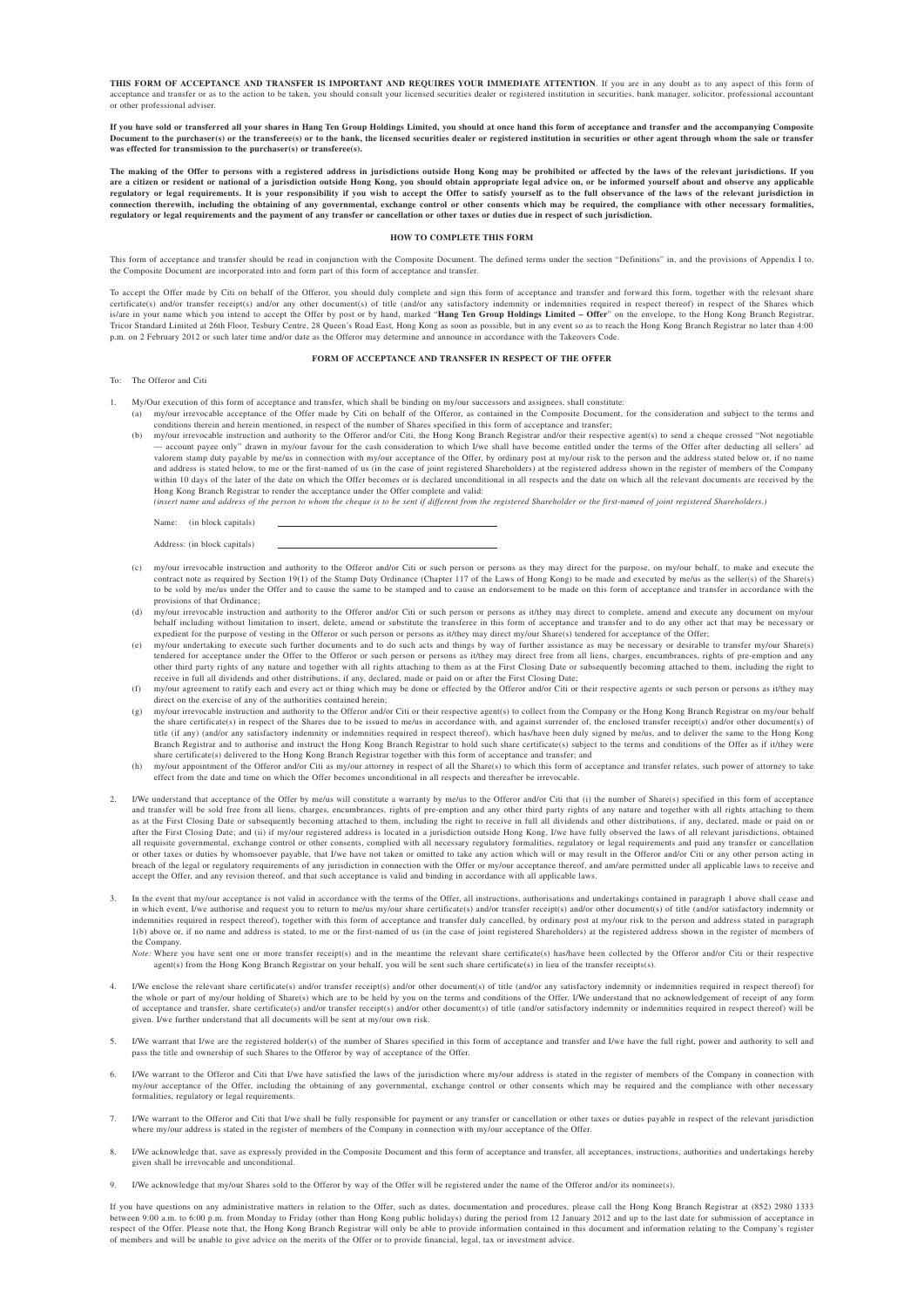**THIS FORM OF ACCEPTANCE AND TRANSFER IS IMPORTANT AND REQUIRES YOUR IMMEDIATE ATTENTION**. If you are in any doubt as to any aspect of this form of acceptance and transfer or as to the action to be taken, you should consult your licensed securities dealer or registered institution in securities, bank manager, solicitor, professional accountant or other professional adviser.

**If you have sold or transferred all your shares in Hang Ten Group Holdings Limited, you should at once hand this form of acceptance and transfer and the accompanying Composite Document to the purchaser(s) or the transferee(s) or to the bank, the licensed securities dealer or registered institution in securities or other agent through whom the sale or transfer was effected for transmission to the purchaser(s) or transferee(s).**

The making of the Offer to persons with a registered address in jurisdictions outside Hong Kong may be prohibited or affected by the laws of the relevant jurisdictions. If you<br>are a citizen or resident or national of a jur are a citizen or resident or national of a jurisdiction outside Hong Kong, you should obtain appropriate legal advice on, or be informed yourself about and observe a citizen or resident or national of a jurisdiction outsid regulatory or legal requirements. It is your responsibility if you wish to accept the Offer to satisfy yourself as to the full observance of the laws of the relevant jurisdiction in<br>connection therewith, including the obta **regulatory or legal requirements and the payment of any transfer or cancellation or other taxes or duties due in respect of such jurisdiction.**

#### **HOW TO COMPLETE THIS FORM**

This form of acceptance and transfer should be read in conjunction with the Composite Document. The defined terms under the section "Definitions" in, and the provisions of Appendix I to,<br>the Composite Document are incorpor

To accept the Offer made by Citi on behalf of the Offeror, you should duly complete and sign this form of acceptance and transfer and forward this form, together with the relevant share certificate(s) and/or transfer receipt(s) and/or any other document(s) of title (and/or any satisfactory indemnity or indemnities required in respect thereof) in respect of the Shares which<br>is/are in your name which you in Tricor Standard Limited at 26th Floor, Tesbury Centre, 28 Queen's Road East, Hong Kong as soon as possible, but in any event so as to reach the Hong Kong Branch Registrar no later than 4:00 p.m. on 2 February 2012 or such later time and/or date as the Offeror may determine and announce in accordance with the Takeovers Code.

#### **FORM OF ACCEPTANCE AND TRANSFER IN RESPECT OF THE OFFER**

#### To: The Offeror and Citi

- 
- 1. My/Our execution of this form of acceptance and transfer, which shall be binding on my/our successors and assignees, shall constitute:<br>(a) my/our irrevocable acceptance of the Offer made by Citi on behalf of the Offeror conditions therein and herein mentioned, in respect of the number of Shares specified in this form of acceptance and transfer;<br>(b) my/our irrevocable instruction and authority to the Offeror and/or Citi, the Hong Kong Bran
	- account payee only" drawn in my/our favour for the cash consideration to which I/we shall have become entitled under the terms of the Offer after deducting all sellers' ad<br>valorem stamp duty payable by me/us in connectio and address is stated below, to me or the first-named of us (in the case of joint registered Shareholders) at the registered address shown in the register of members of the Company within 10 days of the later of the date on which the Offer becomes or is declared unconditional in all respects and the date on which all the relevant documents are received by the Hong Kong Branch Registrar to render the acceptance under the Offer complete and valid:

*(insert name and address of the person to whom the cheque is to be sent if different from the registered Shareholder or the first-named of joint registered Shareholders.)*

Name: (in block capitals)

- (c) my/our irrevocable instruction and authority to the Offeror and/or Citi or such person or persons as they may direct for the purpose, on my/our behalf, to make and execute the contract note as required by Section 19(1) to be sold by me/us under the Offer and to cause the same to be stamped and to cause an endorsement to be made on this form of acceptance and transfer in accordance with the provisions of that Ordinance;
- (d) my/our irrevocable instruction and authority to the Offeror and/or Citi or such person or persons as it/they may direct to complete, amend and execute any document on my/our<br>behalf including without limitation to inser
- expedient for the purpose of vesting in the Offeror or such person or persons as it/they may direct my/our Share(s) tendered for acceptance of the Offer;<br>(e) my/our undertaking to execute such further documents and to do s tendered for acceptance under the Offer to the Offeror or such person or persons as it/they may direct free from all liens, charges, encumbrances, rights of pre-emption and any<br>other third party rights of any nature and to
- receive in full all dividends and other distributions, if any, declared, made or paid on or after the First Closing Date;<br>(f) my/our agreement to ratify each and every act or thing which may be done or effected by the Offe direct on the exercise of any of the authorities contained herein;
- (g) my/our irrevocable instruction and authority to the Offeror and/or Citi or their respective agent(s) to collect from the Company or the Hong Kong Branch Registrar on my/our behalf the share certificate(s) in respect of the Shares due to be issued to me/us in accordance with, and against surrender of, the enclosed transfer receipt(s) and/or other document(s) of title (if any) (and/or any satisfactory indemnity or indemnities required in respect thereof), which has/have been duly signed by me/us, and to deliver the same to the Hong Kong<br>Branch Registrar and to authorise and instru
- share certificate(s) delivered to the Hong Kong Branch Registrar together with this form of acceptance and transfer; and<br>(h) my/our appointment of the Offeror and/or Citi as my/our attorney in respect of all the Share(s) t effect from the date and time on which the Offer becomes unconditional in all respects and thereafter be irrevocable.
- 2. I/We understand that acceptance of the Offer by me/us will constitute a warranty by me/us to the Offeror and/or Citi that (i) the number of Share(s) specified in this form of acceptance and transfer will be sold free from all liens, charges, encumbrances, rights of pre-emption and any other third party rights of any nature and together with all rights attaching to them and to them be and together with al as at the First Closing Date or subsequently becoming attached to them, including the right to receive in full all dividends and other distributions, if any, declared, made or paid on or<br>after the First Closing Date; and ( all requisite governmental, exchange control or other consents, complied with all necessary regulatory formalities, regulatory or legal requirements and paid any transfer or cancellation<br>or other taxes or duties by whomsoe breach of the legal or regulatory requirements of any jurisdiction in connection with the Offer or my/our acceptance thereof, and am/are permitted under all applicable laws to receive and accept the Offer, and any revision thereof, and that such acceptance is valid and binding in accordance with all applicable laws.
- 3. In the event that my/our acceptance is not valid in accordance with the terms of the Offer, all instructions, authorisations and undertakings contained in paragraph 1 above shall cease and in which event, I/we authorise and request you to return to me/us my/our share certificate(s) and/or transfer receipt(s) and/or other document(s) of title (and/or satisfactory indemnity or indemnities required in respect thereof), together with this form of acceptance and transfer duly cancelled, by ordinary post at my/our risk to the person and address stated in paragraph<br>1(b) above or, if no name and addre the Company.

*Note:* Where you have sent one or more transfer receipt(s) and in the meantime the relevant share certificate(s) has/have been collected by the Offeror and/or Citi or their respective agent(s) from the Hong Kong Branch Registrar on your behalf, you will be sent such share certificate(s) in lieu of the transfer receipts(s).

- 4. I/We enclose the relevant share certificate(s) and/or transfer receipt(s) and/or other document(s) of title (and/or any satisfactory indemnity or indemnities required in respect thereof) for the whole or part of my/our of acceptance and transfer, share certificate(s) and/or transfer receipt(s) and/or other document(s) of title (and/or satisfactory indemnity or indemnities required in respect thereof) will be given. I/we further understand that all documents will be sent at my/our own risk.
- I/We warrant that I/we are the registered holder(s) of the number of Shares specified in this form of acceptance and transfer and I/we have the full right, power and authority to sell and pass the title and ownership of such Shares to the Offeror by way of acceptance of the Offer
- 6. I/We warrant to the Offeror and Citi that I/we have satisfied the laws of the jurisdiction where my/our address is stated in the register of members of the Company in connection with my/our acceptance of the Offer, including the obtaining of any governmental, exchange control or other consents which may be required and the compliance with other necessary formalities, regulatory or legal requirements.
- 7. I/We warrant to the Offeror and Citi that I/we shall be fully responsible for payment or any transfer or cancellation or other taxes or duties payable in respect of the relevant jurisdiction where my/our address is stated in the register of members of the Company in connection with my/our acceptance of the Offer.
- 8. I/We acknowledge that, save as expressly provided in the Composite Document and this form of acceptance and transfer, all acceptances, instructions, authorities and undertakings hereby given shall be irrevocable and unc
- I/We acknowledge that my/our Shares sold to the Offeror by way of the Offer will be registered under the name of the Offeror and/or its no

If you have questions on any administrative matters in relation to the Offer, such as dates, documentation and procedures, please call the Hong Kong Branch Registrar at (852) 2980 1333 between 9:00 a.m. to 6:00 p.m. from Monday to Friday (other than Hong Kong public holidays) during the period from 12 January 2012 and up to the last date for submission of acceptance in<br>respect of the Offer. Please note t of members and will be unable to give advice on the merits of the Offer or to provide financial, legal, tax or investment advice.

Address: (in block capitals)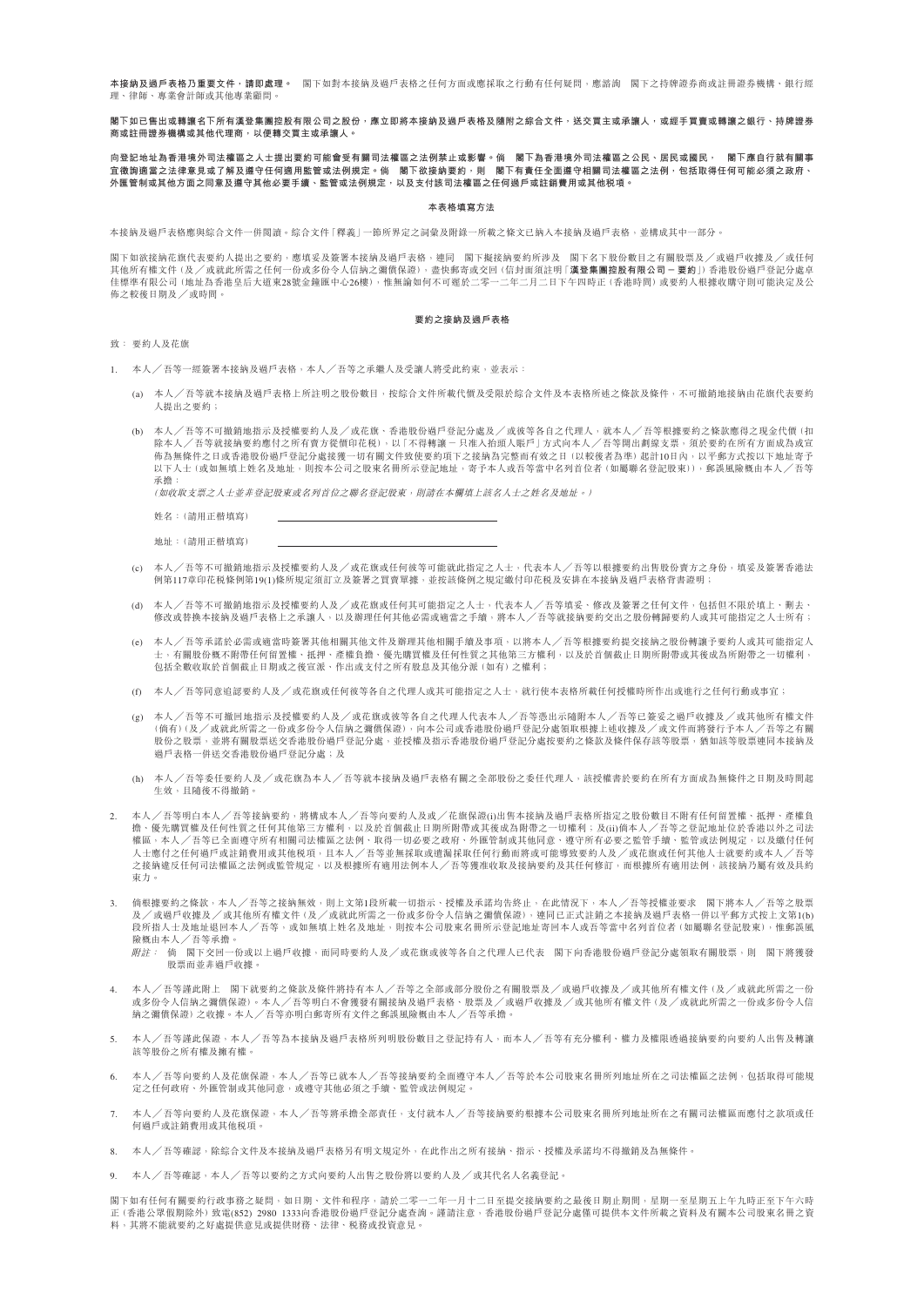**本接纳及過戶表格乃重要立件,請即處理。** 閣下加對本接纳及過戶表格之任何方面或應採取之行動有任何疑問,應談詢 閣下之持隐證券商或註冊證券機構、銀行經 理、律師、專業會計師或其他專業顧問。

### **閣下如已售出或轉讓名下所有漢登集團控股有限公司之股份,應立即將本接納及過戶表格及隨附之綜合文件,送交買主或承讓人,或經手買賣或轉讓之銀行、持牌證券 商或註冊證券機構或其他代理商,以便轉交買主或承讓人。**

### **向登記地址為香港境外司法權區之人士提出要約可能會受有關司法權區之法例禁止或影響。倘 閣下為香港境外司法權區之公民、居民或國民, 閣下應自行就有關事 宜徵詢適當之法律意見或了解及遵守任何適用監管或法例規定。倘 閣下欲接納要約,則 閣下有責任全面遵守相關司法權區之法例,包括取得任何可能必須之政府、 外匯管制或其他方面之同意及遵守其他必要手續、監管或法例規定,以及支付該司法權區之任何過戶或註銷費用或其他稅項。**

### **本表格填寫方法**

本接納及過戶表格應與綜合文件一併閱讀。綜合文件「釋義」一節所界定之詞彙及附錄一所載之條文已納入本接納及過戶表格,並構成其中一部分。

閣下如欲接納花旗代表要約人提出之要約,應填妥及簽署本接納及過戶表格,連同 閣下擬接納要約所涉及 閣下名下股份數目之有關股票及/或過戶收據及/或任何<br>其他所有權文件 (及/或就此所需之任何一份或多份令人信納之彌償保證),盡快郵寄或交回 (信封面須註明「**漢登集團控股有限公司 — 要約**」) 香港股份過戶登記分處卓 佳標準有限公司(地址為香港皇后大道東28號金鐘匯中心26樓),惟無論如何不可遲於二零一二年二月二日下午四時正(香港時間)或要約人根據收購守則可能決定及公 佈之較後日期及╱或時間。

#### **要約之接納及過戶表格**

致: 要約人及花旗

- 1. 本人╱吾等一經簽署本接納及過戶表格,本人╱吾等之承繼人及受讓人將受此約束,並表示:
	- (a) 本人╱吾等就本接納及過戶表格上所註明之股份數目,按綜合文件所載代價及受限於綜合文件及本表格所述之條款及條件,不可撤銷地接納由花旗代表要約 人提出之要約;
	- (b) 本人╱吾等不可撤銷地指示及授權要約人及╱或花旗、香港股份過戶登記分處及╱或彼等各自之代理人,就本人╱吾等根據要約之條款應得之現金代價(扣 除本人/吾等就接納要約應付之所有賣方從價印花税),以「不得轉讓 — 只准入抬頭人賬戶」方式向本人/吾等開出劃線支票,須於要約在所有方面成為或宣<br>佈為無條件之日或香港股份過戶登記分處接獲一切有關文件致使要約項下之接納為完整而有效之日 (以較後者為準) 起計10日內,以平郵方式按以下地址寄予 以下人士(或如無填上姓名及地址,則按本公司之股東名冊所示登記地址,寄予本人或吾等當中名列首位者(如屬聯名登記股東)),郵誤風險概由本人/吾等 承擔:

(如收取支票之人士並非登記股東或名列首位之聯名登記股東,則請在本欄填上該名人士之姓名及地址。)

姓名:(請用正楷填寫)

- 地址:(請用正楷填寫)
- (c) 本人╱吾等不可撤銷地指示及授權要約人及╱或花旗或任何彼等可能就此指定之人士,代表本人╱吾等以根據要約出售股份賣方之身份,填妥及簽署香港法 例第117章印花稅條例第19(1)條所規定須訂立及簽署之買賣單據,並按該條例之規定繳付印花稅及安排在本接納及過戶表格背書證明;
- (d) 本人╱吾等不可撤銷地指示及授權要約人及╱或花旗或任何其可能指定之人士,代表本人╱吾等填妥、修改及簽署之任何文件,包括但不限於填上、刪去、 修改或替換本接納及過戶表格上之承讓人,以及辦理任何其他必需或適當之手續,將本人╱吾等就接納要約交出之股份轉歸要約人或其可能指定之人士所有;
- (e) 本人╱吾等承諾於必需或適當時簽署其他相關其他文件及辦理其他相關手續及事項,以將本人╱吾等根據要約提交接納之股份轉讓予要約人或其可能指定人 士,有關股份概不附帶任何留置權、抵押、產權負擔、優先購買權及任何性質之其他第三方權利,以及於首個截止日期所附帶或其後成為所附帶之一切權利, 包括全數收取於首個截止日期或之後宣派、作出或支付之所有股息及其他分派(如有)之權利;
- (f) 本人╱吾等同意追認要約人及╱或花旗或任何彼等各自之代理人或其可能指定之人士,就行使本表格所載任何授權時所作出或進行之任何行動或事宜;
- (g) 本人╱吾等不可撤回地指示及授權要約人及╱或花旗或彼等各自之代理人代表本人╱吾等憑出示隨附本人╱吾等已簽妥之過戶收據及╱或其他所有權文件 (倘有)(及╱或就此所需之一份或多份令人信納之彌償保證),向本公司或香港股份過戶登記分處領取根據上述收據及╱或文件而將發行予本人╱吾等之有關 股份之股票,並將有關股票送交香港股份過戶登記分處,並授權及指示香港股份過戶登記分處按要約之條款及條件保存該等股票,猶如該等股票連同本接納及 過戶表格一併送交香港股份過戶登記分處;及
- (h) 本人╱吾等委任要約人及╱或花旗為本人╱吾等就本接納及過戶表格有關之全部股份之委任代理人,該授權書於要約在所有方面成為無條件之日期及時間起 生效,且隨後不得撤銷。
- 2. 本人╱吾等明白本人╱吾等接納要約,將構成本人╱吾等向要約人及或╱花旗保證(i)出售本接納及過戶表格所指定之股份數目不附有任何留置權、抵押、產權負 擔、優先購買權及任何性質之任何其他第三方權利,以及於首個截止日期所附帶或其後成為附帶之一切權利;及(ii)倘本人╱吾等之登記地址位於香港以外之司法 權區,本人╱吾等已全面遵守所有相關司法權區之法例、取得一切必要之政府、外匯管制或其他同意、遵守所有必要之監管手續、監管或法例規定,以及繳付任何 人士應付之任何過戶或註銷費用或其他稅項,且本人╱吾等並無採取或遺漏採取任何行動而將或可能導致要約人及╱或花旗或任何其他人士就要約或本人╱吾等 之接納違反任何司法權區之法例或監管規定,以及根據所有適用法例本人╱吾等獲准收取及接納要約及其任何修訂,而根據所有適用法例,該接納乃屬有效及具約 束力。
- 3. 倘根據要約之條款,本人/吾等之接納無效,則上文第1段所載一切指示、授權及承諾均告終止,在此情況下,本人/吾等授權並要求 閣下將本人/吾等之股票<br> 及/或過戶收據及/或其他所有權文件 (及/或就此所需之一份或多份令人信納之彌償保證),連同已正式註銷之本接納及過戶表格一併以平郵方式按上文第1(b) 段所指人士及地址退回本人╱吾等,或如無填上姓名及地址,則按本公司股東名冊所示登記地址寄回本人或吾等當中名列首位者(如屬聯名登記股東),惟郵誤風 險概由本人╱吾等承擔。
	- 附註: 倘 閣下交回一份或以上過戶收據,而同時要約人及╱或花旗或彼等各自之代理人已代表 閣下向香港股份過戶登記分處領取有關股票,則 閣下將獲發 股票而並非過戶收據。
- 4. 本人╱吾等謹此附上 閣下就要約之條款及條件將持有本人╱吾等之全部或部分股份之有關股票及╱或過戶收據及╱或其他所有權文件(及╱或就此所需之一份 或多份令人信納之彌償保證)。本人╱吾等明白不會獲發有關接納及過戶表格、股票及╱或過戶收據及╱或其他所有權文件(及╱或就此所需之一份或多份令人信 納之彌償保證)之收據。本人╱吾等亦明白郵寄所有文件之郵誤風險概由本人╱吾等承擔。
- 本人╱吾等謹此保證,本人╱吾等為本接納及過戶表格所列明股份數目之登記持有人,而本人╱吾等有充分權利、權力及權限透過接納要約向要約人出售及轉讓 該等股份之所有權及擁有權。
- 6. 本人╱吾等向要約人及花旗保證,本人╱吾等已就本人╱吾等接納要約全面遵守本人╱吾等於本公司股東名冊所列地址所在之司法權區之法例,包括取得可能規 定之任何政府、外匯管制或其他同意,或遵守其他必須之手續、監管或法例規定。
- 本人╱吾等向要約人及花旗保證,本人/吾等將承擔全部責任,支付就本人╱吾等接納要約根據本公司股東名冊所列地址所在之有關司法權區而應付之款項或任 何過戶或註銷費用或其他稅項。
- 8. 本人╱吾等確認,除綜合文件及本接納及過戶表格另有明文規定外,在此作出之所有接納、指示、授權及承諾均不得撤銷及為無條件。
- 9. 本人 /吾等確認,本人 /吾等以要約之方式向要約人出售之股份將以要約人及 /或其代名人名義登記。

閣下如有任何有關要約行政事務之疑問,如日期、文件和程序,請於二零一二年一月十二日至提交接納要約之最後日期止期間,星期一至星期五上午九時正至下午六時<br>正 (香港公眾假期除外) 致電(852) 2980 1333向香港股份過戶登記分處查詢。謹請注意,香港股份過戶登記分處僅可提供本文件所載之資料及有關本公司股東名冊之資 料,其將不能就要約之好處提供意見或提供財務、法律、稅務或投資意見。